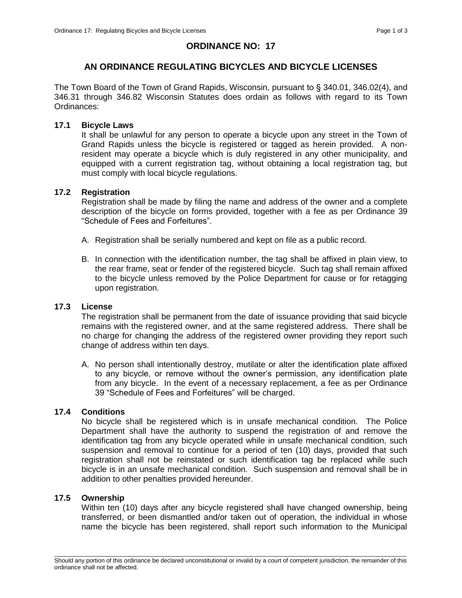# **ORDINANCE NO: 17**

# **AN ORDINANCE REGULATING BICYCLES AND BICYCLE LICENSES**

The Town Board of the Town of Grand Rapids, Wisconsin, pursuant to § 340.01, 346.02(4), and 346.31 through 346.82 Wisconsin Statutes does ordain as follows with regard to its Town Ordinances:

#### **17.1 Bicycle Laws**

It shall be unlawful for any person to operate a bicycle upon any street in the Town of Grand Rapids unless the bicycle is registered or tagged as herein provided. A nonresident may operate a bicycle which is duly registered in any other municipality, and equipped with a current registration tag, without obtaining a local registration tag, but must comply with local bicycle regulations.

### **17.2 Registration**

Registration shall be made by filing the name and address of the owner and a complete description of the bicycle on forms provided, together with a fee as per Ordinance 39 "Schedule of Fees and Forfeitures".

- A. Registration shall be serially numbered and kept on file as a public record.
- B. In connection with the identification number, the tag shall be affixed in plain view, to the rear frame, seat or fender of the registered bicycle. Such tag shall remain affixed to the bicycle unless removed by the Police Department for cause or for retagging upon registration.

#### **17.3 License**

The registration shall be permanent from the date of issuance providing that said bicycle remains with the registered owner, and at the same registered address. There shall be no charge for changing the address of the registered owner providing they report such change of address within ten days.

A. No person shall intentionally destroy, mutilate or alter the identification plate affixed to any bicycle, or remove without the owner's permission, any identification plate from any bicycle. In the event of a necessary replacement, a fee as per Ordinance 39 "Schedule of Fees and Forfeitures" will be charged.

# **17.4 Conditions**

No bicycle shall be registered which is in unsafe mechanical condition. The Police Department shall have the authority to suspend the registration of and remove the identification tag from any bicycle operated while in unsafe mechanical condition, such suspension and removal to continue for a period of ten (10) days, provided that such registration shall not be reinstated or such identification tag be replaced while such bicycle is in an unsafe mechanical condition. Such suspension and removal shall be in addition to other penalties provided hereunder.

### **17.5 Ownership**

Within ten (10) days after any bicycle registered shall have changed ownership, being transferred, or been dismantled and/or taken out of operation, the individual in whose name the bicycle has been registered, shall report such information to the Municipal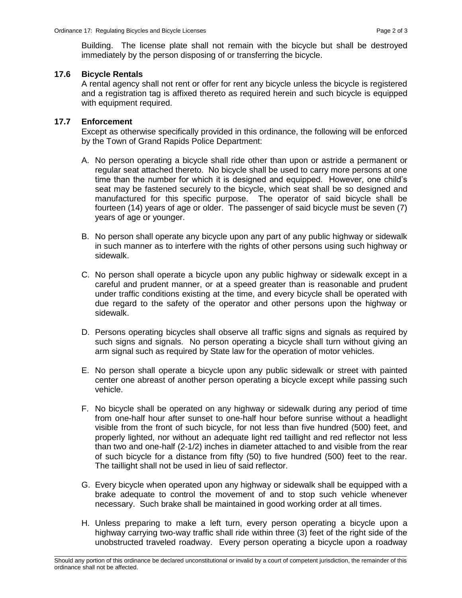Building. The license plate shall not remain with the bicycle but shall be destroyed immediately by the person disposing of or transferring the bicycle.

### **17.6 Bicycle Rentals**

A rental agency shall not rent or offer for rent any bicycle unless the bicycle is registered and a registration tag is affixed thereto as required herein and such bicycle is equipped with equipment required.

### **17.7 Enforcement**

Except as otherwise specifically provided in this ordinance, the following will be enforced by the Town of Grand Rapids Police Department:

- A. No person operating a bicycle shall ride other than upon or astride a permanent or regular seat attached thereto. No bicycle shall be used to carry more persons at one time than the number for which it is designed and equipped. However, one child's seat may be fastened securely to the bicycle, which seat shall be so designed and manufactured for this specific purpose. The operator of said bicycle shall be fourteen (14) years of age or older. The passenger of said bicycle must be seven (7) years of age or younger.
- B. No person shall operate any bicycle upon any part of any public highway or sidewalk in such manner as to interfere with the rights of other persons using such highway or sidewalk.
- C. No person shall operate a bicycle upon any public highway or sidewalk except in a careful and prudent manner, or at a speed greater than is reasonable and prudent under traffic conditions existing at the time, and every bicycle shall be operated with due regard to the safety of the operator and other persons upon the highway or sidewalk.
- D. Persons operating bicycles shall observe all traffic signs and signals as required by such signs and signals. No person operating a bicycle shall turn without giving an arm signal such as required by State law for the operation of motor vehicles.
- E. No person shall operate a bicycle upon any public sidewalk or street with painted center one abreast of another person operating a bicycle except while passing such vehicle.
- F. No bicycle shall be operated on any highway or sidewalk during any period of time from one-half hour after sunset to one-half hour before sunrise without a headlight visible from the front of such bicycle, for not less than five hundred (500) feet, and properly lighted, nor without an adequate light red taillight and red reflector not less than two and one-half (2-1/2) inches in diameter attached to and visible from the rear of such bicycle for a distance from fifty (50) to five hundred (500) feet to the rear. The taillight shall not be used in lieu of said reflector.
- G. Every bicycle when operated upon any highway or sidewalk shall be equipped with a brake adequate to control the movement of and to stop such vehicle whenever necessary. Such brake shall be maintained in good working order at all times.
- H. Unless preparing to make a left turn, every person operating a bicycle upon a highway carrying two-way traffic shall ride within three (3) feet of the right side of the unobstructed traveled roadway. Every person operating a bicycle upon a roadway